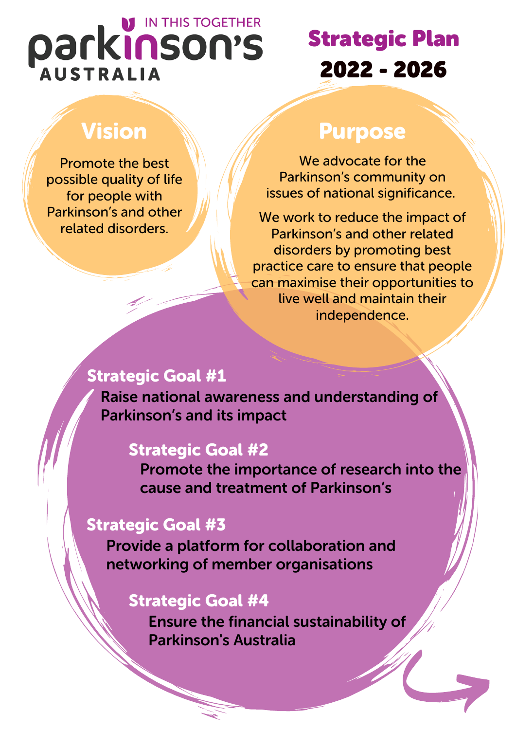# IN THIS TOGETHER parkinson's **AUSTRALIA**

# Strategic Plan 2022 - 2026

## Vision

Promote the best possible quality of life for people with Parkinson's and other related disorders.

### Purpose

We advocate for the Parkinson's community on issues of national significance.

We work to reduce the impact of Parkinson's and other related disorders by promoting best practice care to ensure that people can maximise their opportunities to live well and maintain their independence.

### Strategic Goal #1

Raise national awareness and understanding of Parkinson's and its impact

### Strategic Goal #2

Promote the importance of research into the cause and treatment of Parkinson's

### Strategic Goal #3

Provide a platform for collaboration and networking of member organisations

### Strategic Goal #4

Ensure the financial sustainability of Parkinson's Australia